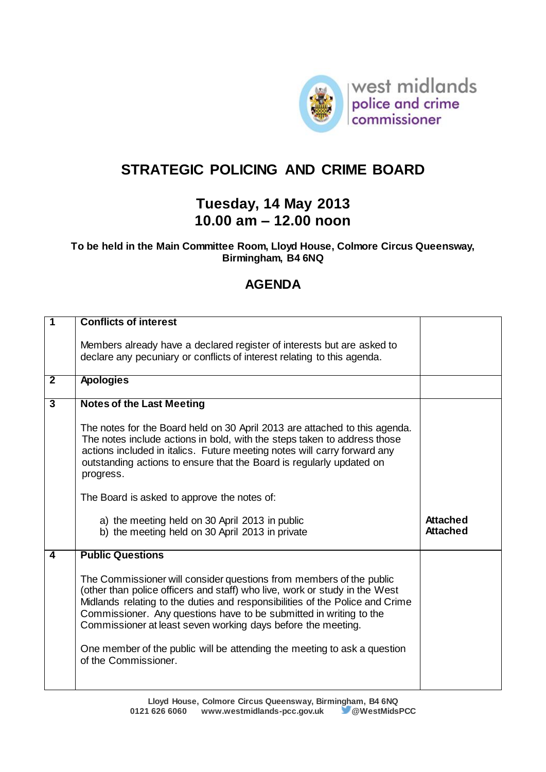

## **STRATEGIC POLICING AND CRIME BOARD**

## **Tuesday, 14 May 2013 10.00 am – 12.00 noon**

## **To be held in the Main Committee Room, Lloyd House, Colmore Circus Queensway, Birmingham, B4 6NQ**

## **AGENDA**

| 1              | <b>Conflicts of interest</b>                                                                                                                                                                                                                                                                                                                                                                                                                                                |                                    |
|----------------|-----------------------------------------------------------------------------------------------------------------------------------------------------------------------------------------------------------------------------------------------------------------------------------------------------------------------------------------------------------------------------------------------------------------------------------------------------------------------------|------------------------------------|
|                | Members already have a declared register of interests but are asked to<br>declare any pecuniary or conflicts of interest relating to this agenda.                                                                                                                                                                                                                                                                                                                           |                                    |
| $\overline{2}$ | <b>Apologies</b>                                                                                                                                                                                                                                                                                                                                                                                                                                                            |                                    |
| $\overline{3}$ | <b>Notes of the Last Meeting</b>                                                                                                                                                                                                                                                                                                                                                                                                                                            |                                    |
|                | The notes for the Board held on 30 April 2013 are attached to this agenda.<br>The notes include actions in bold, with the steps taken to address those<br>actions included in italics. Future meeting notes will carry forward any<br>outstanding actions to ensure that the Board is regularly updated on<br>progress.<br>The Board is asked to approve the notes of:                                                                                                      |                                    |
|                | a) the meeting held on 30 April 2013 in public<br>b) the meeting held on 30 April 2013 in private                                                                                                                                                                                                                                                                                                                                                                           | <b>Attached</b><br><b>Attached</b> |
| 4              | <b>Public Questions</b>                                                                                                                                                                                                                                                                                                                                                                                                                                                     |                                    |
|                | The Commissioner will consider questions from members of the public<br>(other than police officers and staff) who live, work or study in the West<br>Midlands relating to the duties and responsibilities of the Police and Crime<br>Commissioner. Any questions have to be submitted in writing to the<br>Commissioner at least seven working days before the meeting.<br>One member of the public will be attending the meeting to ask a question<br>of the Commissioner. |                                    |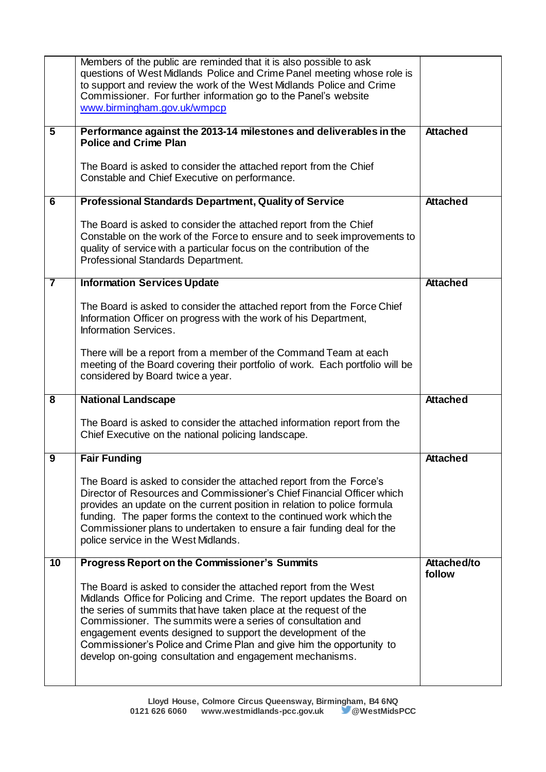|                         | Members of the public are reminded that it is also possible to ask<br>questions of West Midlands Police and Crime Panel meeting whose role is<br>to support and review the work of the West Midlands Police and Crime<br>Commissioner. For further information go to the Panel's website<br>www.birmingham.gov.uk/wmpcp                                                                                                                                                             |                       |
|-------------------------|-------------------------------------------------------------------------------------------------------------------------------------------------------------------------------------------------------------------------------------------------------------------------------------------------------------------------------------------------------------------------------------------------------------------------------------------------------------------------------------|-----------------------|
| $\overline{\mathbf{5}}$ | Performance against the 2013-14 milestones and deliverables in the<br><b>Police and Crime Plan</b>                                                                                                                                                                                                                                                                                                                                                                                  | <b>Attached</b>       |
|                         | The Board is asked to consider the attached report from the Chief<br>Constable and Chief Executive on performance.                                                                                                                                                                                                                                                                                                                                                                  |                       |
| 6                       | <b>Professional Standards Department, Quality of Service</b>                                                                                                                                                                                                                                                                                                                                                                                                                        | <b>Attached</b>       |
|                         | The Board is asked to consider the attached report from the Chief<br>Constable on the work of the Force to ensure and to seek improvements to<br>quality of service with a particular focus on the contribution of the<br>Professional Standards Department.                                                                                                                                                                                                                        |                       |
| $\overline{\mathbf{7}}$ | <b>Information Services Update</b>                                                                                                                                                                                                                                                                                                                                                                                                                                                  | <b>Attached</b>       |
|                         | The Board is asked to consider the attached report from the Force Chief<br>Information Officer on progress with the work of his Department,<br>Information Services.                                                                                                                                                                                                                                                                                                                |                       |
|                         | There will be a report from a member of the Command Team at each<br>meeting of the Board covering their portfolio of work. Each portfolio will be<br>considered by Board twice a year.                                                                                                                                                                                                                                                                                              |                       |
| $\overline{\mathbf{8}}$ | <b>National Landscape</b>                                                                                                                                                                                                                                                                                                                                                                                                                                                           | <b>Attached</b>       |
|                         | The Board is asked to consider the attached information report from the<br>Chief Executive on the national policing landscape.                                                                                                                                                                                                                                                                                                                                                      |                       |
| 9                       | <b>Fair Funding</b>                                                                                                                                                                                                                                                                                                                                                                                                                                                                 | <b>Attached</b>       |
|                         | The Board is asked to consider the attached report from the Force's<br>Director of Resources and Commissioner's Chief Financial Officer which<br>provides an update on the current position in relation to police formula<br>funding. The paper forms the context to the continued work which the<br>Commissioner plans to undertaken to ensure a fair funding deal for the<br>police service in the West Midlands.                                                                 |                       |
| $\overline{10}$         | <b>Progress Report on the Commissioner's Summits</b>                                                                                                                                                                                                                                                                                                                                                                                                                                | Attached/to<br>follow |
|                         | The Board is asked to consider the attached report from the West<br>Midlands Office for Policing and Crime. The report updates the Board on<br>the series of summits that have taken place at the request of the<br>Commissioner. The summits were a series of consultation and<br>engagement events designed to support the development of the<br>Commissioner's Police and Crime Plan and give him the opportunity to<br>develop on-going consultation and engagement mechanisms. |                       |